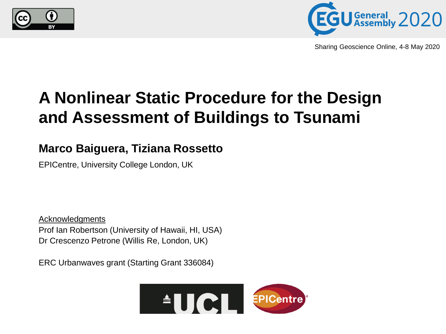



Sharing Geoscience Online, 4-8 May 2020

## **A Nonlinear Static Procedure for the Design and Assessment of Buildings to Tsunami**

### **Marco Baiguera, Tiziana Rossetto**

EPICentre, University College London, UK

Acknowledgments Prof Ian Robertson (University of Hawaii, HI, USA) Dr Crescenzo Petrone (Willis Re, London, UK)

ERC Urbanwaves grant (Starting Grant 336084)

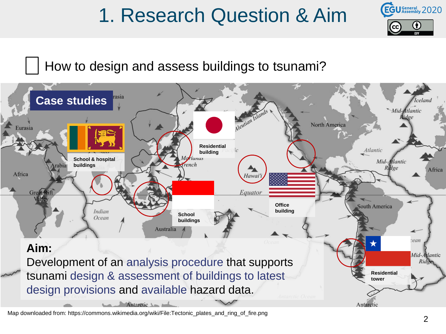# 1. Research Question & Aim



How to design and assess buildings to tsunami?



Map downloaded from: https://commons.wikimedia.org/wiki/File:Tectonic\_plates\_and\_ring\_of\_fire.png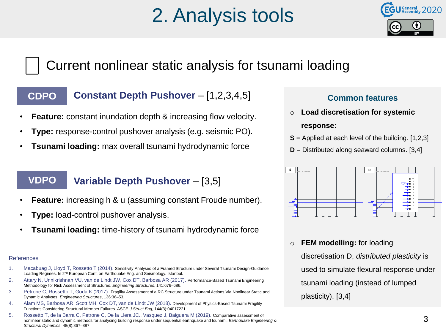# 2. Analysis tools



### Current nonlinear static analysis for tsunami loading

### **CDPO**

### **Constant Depth Pushover** – [1,2,3,4,5]

- **Feature:** constant inundation depth & increasing flow velocity.
- **Type:** response-control pushover analysis (e.g. seismic PO).
- **Tsunami loading:** max overall tsunami hydrodynamic force

#### **VDPO Variable Depth Pushover** – [3,5]

- **Feature:** increasing h & u (assuming constant Froude number).
- **Type:** load-control pushover analysis.
- **Tsunami loading:** time-history of tsunami hydrodynamic force

#### References

- 1. Macabuag J, Lloyd T, Rossetto T (2014). Sensitivity Analyses of a Framed Structure under Several Tsunami Design-Guidance Loading Regimes. In 2<sup>nd</sup> European Conf. on Earthquake Eng. and Seismology. Istanbul.
- 2. Attary N, Unnikrishnan VU, van de Lindt JW, Cox DT, Barbosa AR (2017). Performance-Based Tsunami Engineering Methodology for Risk Assessment of Structures. *Engineering Structures*, 141:676–686.
- 3. Petrone C, Rossetto T, Goda K (2017). Fragility Assessment of a RC Structure under Tsunami Actions Via Nonlinear Static and Dynamic Analyses. *Engineering Structures*, 136:36–53.
- 4. Alam MS, Barbosa AR, Scott MH, Cox DT, van de Lindt JW (2018). Development of Physics-Based Tsunami Fragility Functions Considering Structural Member Failures. ASCE *J Struct Eng*, 144(3):04017221.
- 5. Rossetto T, de la Barra C, Petrone C, De la Llera JC., Vasquez J, Baiguera M (2019). Comparative assessment of nonlinear static and dynamic methods for analysing building response under sequential earthquake and tsunami, *Earthquake Engineering & Structural Dynamics*, 48(8):867–887

### **Common features**

o **Load discretisation for systemic** 

#### **response:**

- **S** = Applied at each level of the building. [1,2,3]
- **D** = Distributed along seaward columns. [3,4]



o **FEM modelling:** for loading

discretisation D, *distributed plasticity* is used to simulate flexural response under tsunami loading (instead of lumped plasticity). [3,4]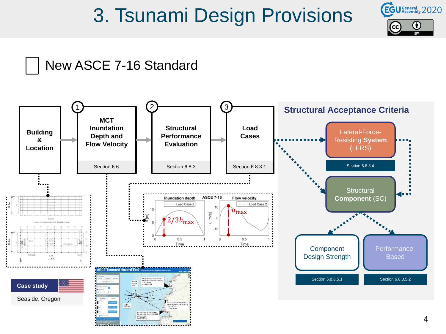## 3. Tsunami Design Provisions



### New ASCE 7-16 Standard

<u> 21. marramente de la componenta</u>

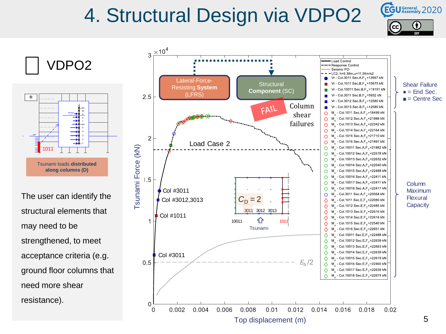# 4. Structural Design via VDPO2





VDPO2

The user can identify the structural elements that may need to be strengthened, to meet acceptance criteria (e.g. ground floor columns that need more shear resistance).